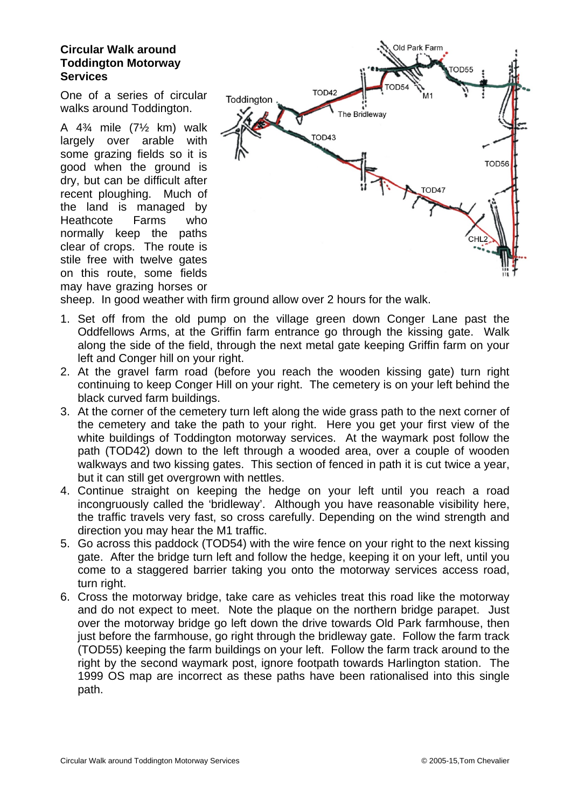## **Circular Walk around Toddington Motorway Services**

One of a series of circular walks around Toddington.

A 4¾ mile (7½ km) walk largely over arable with some grazing fields so it is good when the ground is dry, but can be difficult after recent ploughing. Much of the land is managed by Heathcote Farms who normally keep the paths clear of crops. The route is stile free with twelve gates on this route, some fields may have grazing horses or



sheep. In good weather with firm ground allow over 2 hours for the walk.

- 1. Set off from the old pump on the village green down Conger Lane past the Oddfellows Arms, at the Griffin farm entrance go through the kissing gate. Walk along the side of the field, through the next metal gate keeping Griffin farm on your left and Conger hill on your right.
- 2. At the gravel farm road (before you reach the wooden kissing gate) turn right continuing to keep Conger Hill on your right. The cemetery is on your left behind the black curved farm buildings.
- 3. At the corner of the cemetery turn left along the wide grass path to the next corner of the cemetery and take the path to your right. Here you get your first view of the white buildings of Toddington motorway services. At the waymark post follow the path (TOD42) down to the left through a wooded area, over a couple of wooden walkways and two kissing gates. This section of fenced in path it is cut twice a year, but it can still get overgrown with nettles.
- 4. Continue straight on keeping the hedge on your left until you reach a road incongruously called the 'bridleway'. Although you have reasonable visibility here, the traffic travels very fast, so cross carefully. Depending on the wind strength and direction you may hear the M1 traffic.
- 5. Go across this paddock (TOD54) with the wire fence on your right to the next kissing gate. After the bridge turn left and follow the hedge, keeping it on your left, until you come to a staggered barrier taking you onto the motorway services access road, turn right.
- 6. Cross the motorway bridge, take care as vehicles treat this road like the motorway and do not expect to meet. Note the plaque on the northern bridge parapet. Just over the motorway bridge go left down the drive towards Old Park farmhouse, then just before the farmhouse, go right through the bridleway gate. Follow the farm track (TOD55) keeping the farm buildings on your left. Follow the farm track around to the right by the second waymark post, ignore footpath towards Harlington station. The 1999 OS map are incorrect as these paths have been rationalised into this single path.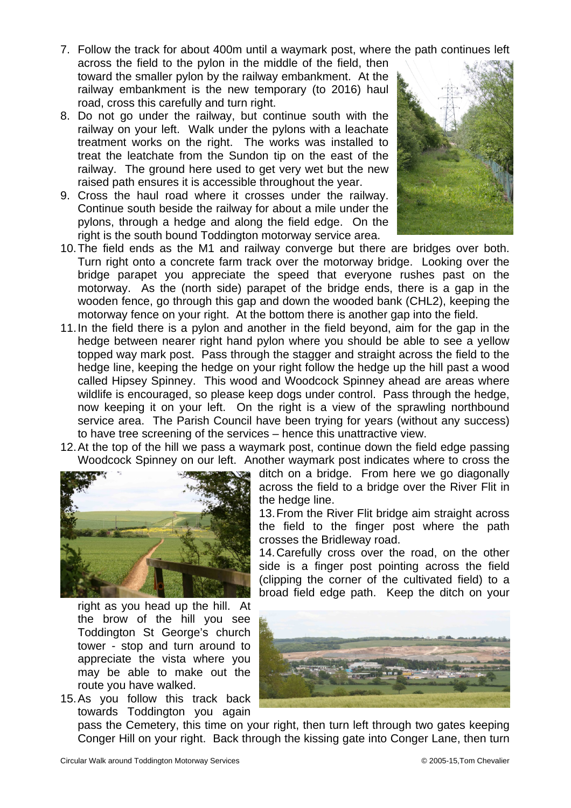7. Follow the track for about 400m until a waymark post, where the path continues left

- across the field to the pylon in the middle of the field, then toward the smaller pylon by the railway embankment. At the railway embankment is the new temporary (to 2016) haul road, cross this carefully and turn right.
- 8. Do not go under the railway, but continue south with the railway on your left. Walk under the pylons with a leachate treatment works on the right. The works was installed to treat the leatchate from the Sundon tip on the east of the railway. The ground here used to get very wet but the new raised path ensures it is accessible throughout the year.
- 9. Cross the haul road where it crosses under the railway. Continue south beside the railway for about a mile under the pylons, through a hedge and along the field edge. On the right is the south bound Toddington motorway service area.



- 10. The field ends as the M1 and railway converge but there are bridges over both. Turn right onto a concrete farm track over the motorway bridge. Looking over the bridge parapet you appreciate the speed that everyone rushes past on the motorway. As the (north side) parapet of the bridge ends, there is a gap in the wooden fence, go through this gap and down the wooded bank (CHL2), keeping the motorway fence on your right. At the bottom there is another gap into the field.
- 11. In the field there is a pylon and another in the field beyond, aim for the gap in the hedge between nearer right hand pylon where you should be able to see a yellow topped way mark post. Pass through the stagger and straight across the field to the hedge line, keeping the hedge on your right follow the hedge up the hill past a wood called Hipsey Spinney. This wood and Woodcock Spinney ahead are areas where wildlife is encouraged, so please keep dogs under control. Pass through the hedge, now keeping it on your left. On the right is a view of the sprawling northbound service area. The Parish Council have been trying for years (without any success) to have tree screening of the services – hence this unattractive view.
- 12. At the top of the hill we pass a waymark post, continue down the field edge passing Woodcock Spinney on our left. Another waymark post indicates where to cross the



right as you head up the hill. At the brow of the hill you see Toddington St George's church tower - stop and turn around to appreciate the vista where you may be able to make out the route you have walked.

15. As you follow this track back towards Toddington you again

ditch on a bridge. From here we go diagonally across the field to a bridge over the River Flit in the hedge line.

13. From the River Flit bridge aim straight across the field to the finger post where the path crosses the Bridleway road.

14. Carefully cross over the road, on the other side is a finger post pointing across the field (clipping the corner of the cultivated field) to a broad field edge path. Keep the ditch on your



pass the Cemetery, this time on your right, then turn left through two gates keeping Conger Hill on your right. Back through the kissing gate into Conger Lane, then turn